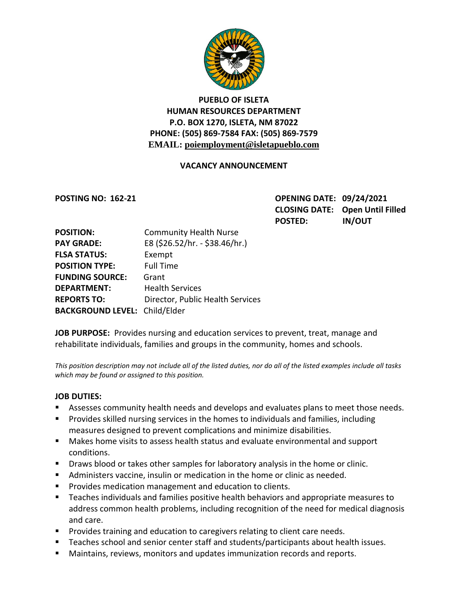

## **PUEBLO OF ISLETA HUMAN RESOURCES DEPARTMENT P.O. BOX 1270, ISLETA, NM 87022 PHONE: (505) 869-7584 FAX: (505) 869-7579 EMAIL: poiemployment@isletapueblo.com**

### **VACANCY ANNOUNCEMENT**

**POSTING NO: 162-21 OPENING DATE: 09/24/2021 CLOSING DATE: Open Until Filled POSTED: IN/OUT**

| <b>POSITION:</b>                     | <b>Community Health Nurse</b>    |
|--------------------------------------|----------------------------------|
| <b>PAY GRADE:</b>                    | E8 (\$26.52/hr. - \$38.46/hr.)   |
| <b>FLSA STATUS:</b>                  | Exempt                           |
| <b>POSITION TYPE:</b>                | <b>Full Time</b>                 |
| <b>FUNDING SOURCE:</b>               | Grant                            |
| <b>DEPARTMENT:</b>                   | <b>Health Services</b>           |
| <b>REPORTS TO:</b>                   | Director, Public Health Services |
| <b>BACKGROUND LEVEL: Child/Elder</b> |                                  |

**JOB PURPOSE:** Provides nursing and education services to prevent, treat, manage and rehabilitate individuals, families and groups in the community, homes and schools.

*This position description may not include all of the listed duties, nor do all of the listed examples include all tasks which may be found or assigned to this position.*

#### **JOB DUTIES:**

- Assesses community health needs and develops and evaluates plans to meet those needs.
- **Provides skilled nursing services in the homes to individuals and families, including** measures designed to prevent complications and minimize disabilities.
- Makes home visits to assess health status and evaluate environmental and support conditions.
- **Draws blood or takes other samples for laboratory analysis in the home or clinic.**
- Administers vaccine, insulin or medication in the home or clinic as needed.
- Provides medication management and education to clients.
- Teaches individuals and families positive health behaviors and appropriate measures to address common health problems, including recognition of the need for medical diagnosis and care.
- **Provides training and education to caregivers relating to client care needs.**
- Teaches school and senior center staff and students/participants about health issues.
- Maintains, reviews, monitors and updates immunization records and reports.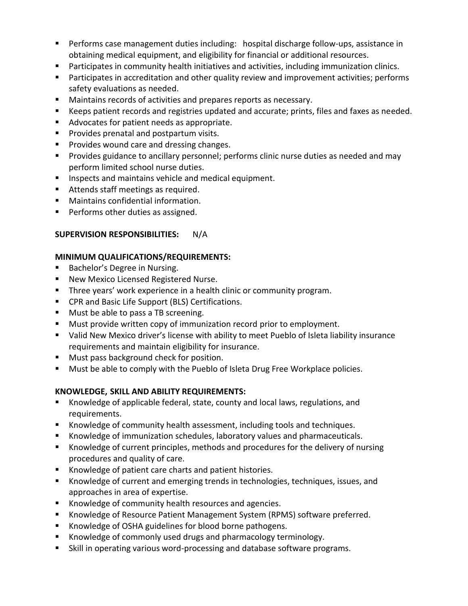- Performs case management duties including: hospital discharge follow-ups, assistance in obtaining medical equipment, and eligibility for financial or additional resources.
- **Participates in community health initiatives and activities, including immunization clinics.**
- **Participates in accreditation and other quality review and improvement activities; performs** safety evaluations as needed.
- Maintains records of activities and prepares reports as necessary.
- Keeps patient records and registries updated and accurate; prints, files and faxes as needed.
- Advocates for patient needs as appropriate.
- **Provides prenatal and postpartum visits.**
- **Provides wound care and dressing changes.**
- **Provides guidance to ancillary personnel; performs clinic nurse duties as needed and may** perform limited school nurse duties.
- **Inspects and maintains vehicle and medical equipment.**
- Attends staff meetings as required.
- Maintains confidential information.
- **Performs other duties as assigned.**

### **SUPERVISION RESPONSIBILITIES:** N/A

## **MINIMUM QUALIFICATIONS/REQUIREMENTS:**

- Bachelor's Degree in Nursing.
- **New Mexico Licensed Registered Nurse.**
- **Three years' work experience in a health clinic or community program.**
- **EXP** CPR and Basic Life Support (BLS) Certifications.
- **Must be able to pass a TB screening.**
- **Must provide written copy of immunization record prior to employment.**
- Valid New Mexico driver's license with ability to meet Pueblo of Isleta liability insurance requirements and maintain eligibility for insurance.
- **Must pass background check for position.**
- **Must be able to comply with the Pueblo of Isleta Drug Free Workplace policies.**

# **KNOWLEDGE, SKILL AND ABILITY REQUIREMENTS:**

- Knowledge of applicable federal, state, county and local laws, regulations, and requirements.
- Knowledge of community health assessment, including tools and techniques.
- Knowledge of immunization schedules, laboratory values and pharmaceuticals.
- Knowledge of current principles, methods and procedures for the delivery of nursing procedures and quality of care.
- Knowledge of patient care charts and patient histories.
- Knowledge of current and emerging trends in technologies, techniques, issues, and approaches in area of expertise.
- **K** Knowledge of community health resources and agencies.
- Knowledge of Resource Patient Management System (RPMS) software preferred.
- Knowledge of OSHA guidelines for blood borne pathogens.
- **Knowledge of commonly used drugs and pharmacology terminology.**
- Skill in operating various word-processing and database software programs.